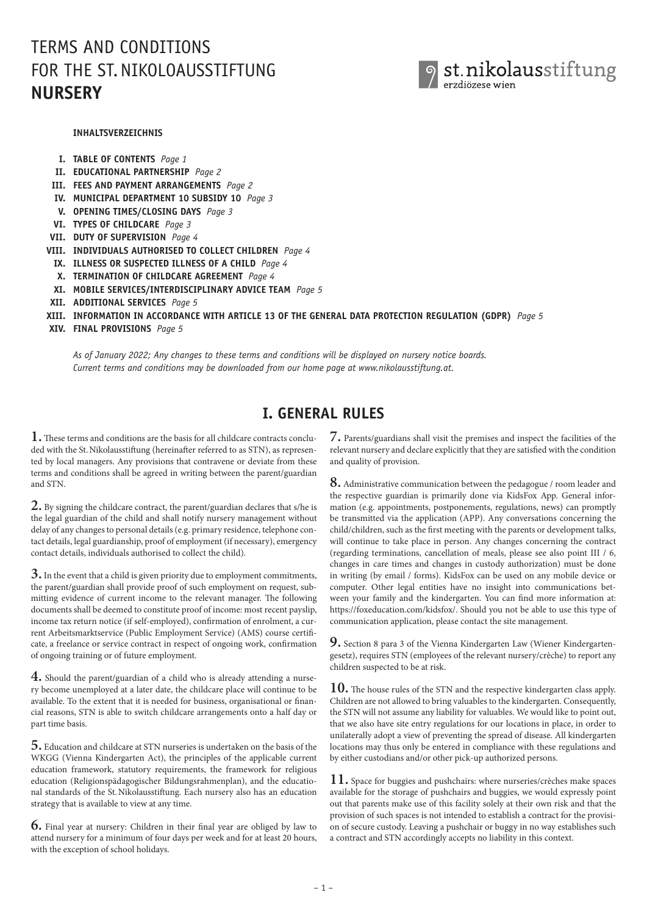# TERMS AND CONDITIONS FOR THE ST. NIKOLOAUSSTIFTUNG **NURSERY**



#### **INHALTSVERZEICHNIS**

- **I. TABLE OF CONTENTS** *Page 1*
- **II. EDUCATIONAL PARTNERSHIP** *Page 2*
- **III. FEES AND PAYMENT ARRANGEMENTS** *Page 2*
- **IV. MUNICIPAL DEPARTMENT 10 SUBSIDY 10** *Page 3*
- **V. OPENING TIMES/CLOSING DAYS** *Page 3*
- **VI. TYPES OF CHILDCARE** *Page 3*
- **VII. DUTY OF SUPERVISION** *Page 4*
- **VIII. INDIVIDUALS AUTHORISED TO COLLECT CHILDREN** *Page 4*
	- **IX. ILLNESS OR SUSPECTED ILLNESS OF A CHILD** *Page 4*
	- **X. TERMINATION OF CHILDCARE AGREEMENT** *Page 4*
	- **XI. MOBILE SERVICES/INTERDISCIPLINARY ADVICE TEAM** *Page 5*
- **XII. ADDITIONAL SERVICES** *Page 5*
- **XIII. INFORMATION IN ACCORDANCE WITH ARTICLE 13 OF THE GENERAL DATA PROTECTION REGULATION (GDPR)** *Page 5*
- **XIV. FINAL PROVISIONS** *Page 5*

 *As of January 2022; Any changes to these terms and conditions will be displayed on nursery notice boards. Current terms and conditions may be downloaded from our home page at www.nikolausstiftung.at.*

#### **I. GENERAL RULES**

**1.** These terms and conditions are the basis for all childcare contracts concluded with the St. Nikolausstiftung (hereinafter referred to as STN), as represented by local managers. Any provisions that contravene or deviate from these terms and conditions shall be agreed in writing between the parent/guardian and STN.

**2.** By signing the childcare contract, the parent/guardian declares that s/he is the legal guardian of the child and shall notify nursery management without delay of any changes to personal details (e.g. primary residence, telephone contact details, legal guardianship, proof of employment (if necessary), emergency contact details, individuals authorised to collect the child).

**3.** In the event that a child is given priority due to employment commitments, the parent/guardian shall provide proof of such employment on request, submitting evidence of current income to the relevant manager. The following documents shall be deemed to constitute proof of income: most recent payslip, income tax return notice (if self-employed), confirmation of enrolment, a current Arbeitsmarktservice (Public Employment Service) (AMS) course certificate, a freelance or service contract in respect of ongoing work, confirmation of ongoing training or of future employment.

**4.** Should the parent/guardian of a child who is already attending a nursery become unemployed at a later date, the childcare place will continue to be available. To the extent that it is needed for business, organisational or financial reasons, STN is able to switch childcare arrangements onto a half day or part time basis.

**5.** Education and childcare at STN nurseries is undertaken on the basis of the WKGG (Vienna Kindergarten Act), the principles of the applicable current education framework, statutory requirements, the framework for religious education (Religionspädagogischer Bildungsrahmenplan), and the educational standards of the St.Nikolausstiftung. Each nursery also has an education strategy that is available to view at any time.

**6.** Final year at nursery: Children in their final year are obliged by law to attend nursery for a minimum of four days per week and for at least 20 hours, with the exception of school holidays.

**7.** Parents/guardians shall visit the premises and inspect the facilities of the relevant nursery and declare explicitly that they are satisfied with the condition and quality of provision.

**8.** Administrative communication between the pedagogue / room leader and the respective guardian is primarily done via KidsFox App. General information (e.g. appointments, postponements, regulations, news) can promptly be transmitted via the application (APP). Any conversations concerning the child/children, such as the first meeting with the parents or development talks, will continue to take place in person. Any changes concerning the contract (regarding terminations, cancellation of meals, please see also point III / 6, changes in care times and changes in custody authorization) must be done in writing (by email / forms). KidsFox can be used on any mobile device or computer. Other legal entities have no insight into communications between your family and the kindergarten. You can find more information at: https://foxeducation.com/kidsfox/. Should you not be able to use this type of communication application, please contact the site management.

**9.** Section 8 para 3 of the Vienna Kindergarten Law (Wiener Kindergartengesetz), requires STN (employees of the relevant nursery/crèche) to report any children suspected to be at risk.

**10.** The house rules of the STN and the respective kindergarten class apply. Children are not allowed to bring valuables to the kindergarten. Consequently, the STN will not assume any liability for valuables. We would like to point out, that we also have site entry regulations for our locations in place, in order to unilaterally adopt a view of preventing the spread of disease. All kindergarten locations may thus only be entered in compliance with these regulations and by either custodians and/or other pick-up authorized persons.

**11.** Space for buggies and pushchairs: where nurseries/crèches make spaces available for the storage of pushchairs and buggies, we would expressly point out that parents make use of this facility solely at their own risk and that the provision of such spaces is not intended to establish a contract for the provision of secure custody. Leaving a pushchair or buggy in no way establishes such a contract and STN accordingly accepts no liability in this context.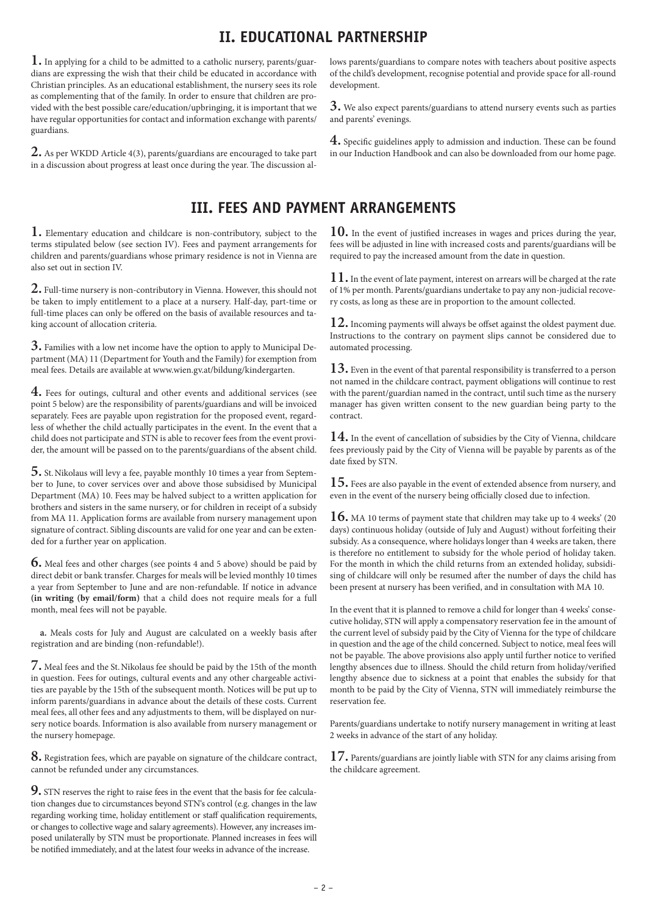### **II. EDUCATIONAL PARTNERSHIP**

development.

and parents' evenings.

**1.** In applying for a child to be admitted to a catholic nursery, parents/guardians are expressing the wish that their child be educated in accordance with Christian principles. As an educational establishment, the nursery sees its role as complementing that of the family. In order to ensure that children are provided with the best possible care/education/upbringing, it is important that we have regular opportunities for contact and information exchange with parents/ guardians.

**2.** As per WKDD Article 4(3), parents/guardians are encouraged to take part in a discussion about progress at least once during the year. The discussion al-

# **III. FEES AND PAYMENT ARRANGEMENTS**

**1.** Elementary education and childcare is non-contributory, subject to the terms stipulated below (see section IV). Fees and payment arrangements for children and parents/guardians whose primary residence is not in Vienna are also set out in section IV.

**2.** Full-time nursery is non-contributory in Vienna. However, this should not be taken to imply entitlement to a place at a nursery. Half-day, part-time or full-time places can only be offered on the basis of available resources and taking account of allocation criteria.

**3.** Families with a low net income have the option to apply to Municipal Department (MA) 11 (Department for Youth and the Family) for exemption from meal fees. Details are available at www.wien.gv.at/bildung/kindergarten.

**4.** Fees for outings, cultural and other events and additional services (see point 5 below) are the responsibility of parents/guardians and will be invoiced separately. Fees are payable upon registration for the proposed event, regardless of whether the child actually participates in the event. In the event that a child does not participate and STN is able to recover fees from the event provider, the amount will be passed on to the parents/guardians of the absent child.

**5.** St.Nikolaus will levy a fee, payable monthly 10 times a year from September to June, to cover services over and above those subsidised by Municipal Department (MA) 10. Fees may be halved subject to a written application for brothers and sisters in the same nursery, or for children in receipt of a subsidy from MA 11. Application forms are available from nursery management upon signature of contract. Sibling discounts are valid for one year and can be extended for a further year on application.

**6.** Meal fees and other charges (see points 4 and 5 above) should be paid by direct debit or bank transfer. Charges for meals will be levied monthly 10 times a year from September to June and are non-refundable. If notice in advance **(in writing (by email/form)** that a child does not require meals for a full month, meal fees will not be payable.

**a.** Meals costs for July and August are calculated on a weekly basis after registration and are binding (non-refundable!).

**7.** Meal fees and the St.Nikolaus fee should be paid by the 15th of the month in question. Fees for outings, cultural events and any other chargeable activities are payable by the 15th of the subsequent month. Notices will be put up to inform parents/guardians in advance about the details of these costs. Current meal fees, all other fees and any adjustments to them, will be displayed on nursery notice boards. Information is also available from nursery management or the nursery homepage.

**8.** Registration fees, which are payable on signature of the childcare contract, cannot be refunded under any circumstances.

**9.** STN reserves the right to raise fees in the event that the basis for fee calculation changes due to circumstances beyond STN's control (e.g. changes in the law regarding working time, holiday entitlement or staff qualification requirements, or changes to collective wage and salary agreements). However, any increases imposed unilaterally by STN must be proportionate. Planned increases in fees will be notified immediately, and at the latest four weeks in advance of the increase.

**10.** In the event of justified increases in wages and prices during the year, fees will be adjusted in line with increased costs and parents/guardians will be

lows parents/guardians to compare notes with teachers about positive aspects of the child's development, recognise potential and provide space for all-round

**3.** We also expect parents/guardians to attend nursery events such as parties

**4.** Specific guidelines apply to admission and induction. These can be found in our Induction Handbook and can also be downloaded from our home page.

**11.** In the event of late payment, interest on arrears will be charged at the rate of 1% per month. Parents/guardians undertake to pay any non-judicial recovery costs, as long as these are in proportion to the amount collected.

required to pay the increased amount from the date in question.

**12.** Incoming payments will always be offset against the oldest payment due. Instructions to the contrary on payment slips cannot be considered due to automated processing.

**13.** Even in the event of that parental responsibility is transferred to a person not named in the childcare contract, payment obligations will continue to rest with the parent/guardian named in the contract, until such time as the nursery manager has given written consent to the new guardian being party to the contract.

**14.** In the event of cancellation of subsidies by the City of Vienna, childcare fees previously paid by the City of Vienna will be payable by parents as of the date fixed by STN.

**15.** Fees are also payable in the event of extended absence from nursery, and even in the event of the nursery being officially closed due to infection.

**16.** MA 10 terms of payment state that children may take up to 4 weeks' (20 days) continuous holiday (outside of July and August) without forfeiting their subsidy. As a consequence, where holidays longer than 4 weeks are taken, there is therefore no entitlement to subsidy for the whole period of holiday taken. For the month in which the child returns from an extended holiday, subsidising of childcare will only be resumed after the number of days the child has been present at nursery has been verified, and in consultation with MA 10.

In the event that it is planned to remove a child for longer than 4 weeks' consecutive holiday, STN will apply a compensatory reservation fee in the amount of the current level of subsidy paid by the City of Vienna for the type of childcare in question and the age of the child concerned. Subject to notice, meal fees will not be payable. The above provisions also apply until further notice to verified lengthy absences due to illness. Should the child return from holiday/verified lengthy absence due to sickness at a point that enables the subsidy for that month to be paid by the City of Vienna, STN will immediately reimburse the reservation fee.

Parents/guardians undertake to notify nursery management in writing at least 2 weeks in advance of the start of any holiday.

**17.** Parents/guardians are jointly liable with STN for any claims arising from the childcare agreement.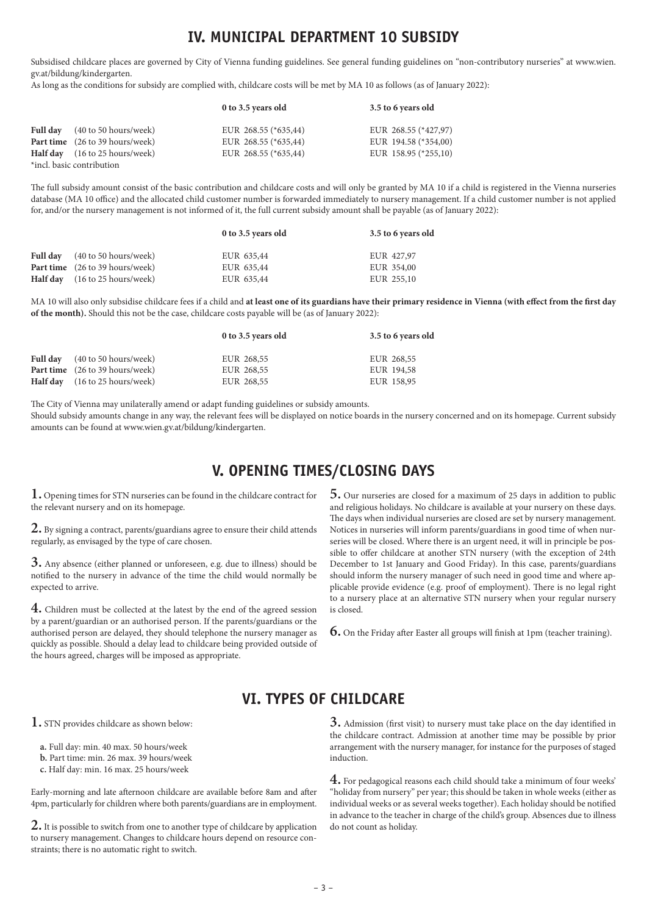#### **IV. MUNICIPAL DEPARTMENT 10 SUBSIDY**

Subsidised childcare places are governed by City of Vienna funding guidelines. See general funding guidelines on "non-contributory nurseries" at www.wien. gv.at/bildung/kindergarten.

As long as the conditions for subsidy are complied with, childcare costs will be met by MA 10 as follows (as of January 2022):

|                                        | 0 to 3.5 years old   | 3.5 to 6 years old   |
|----------------------------------------|----------------------|----------------------|
| <b>Full day</b> (40 to 50 hours/week)  | EUR 268.55 (*635,44) | EUR 268.55 (*427,97) |
| <b>Part time</b> (26 to 39 hours/week) | EUR 268.55 (*635,44) | EUR 194.58 (*354,00) |
| <b>Half day</b> (16 to 25 hours/week)  | EUR 268.55 (*635,44) | EUR 158.95 (*255,10) |
| *incl. basic contribution              |                      |                      |

The full subsidy amount consist of the basic contribution and childcare costs and will only be granted by MA 10 if a child is registered in the Vienna nurseries database (MA 10 office) and the allocated child customer number is forwarded immediately to nursery management. If a child customer number is not applied for, and/or the nursery management is not informed of it, the full current subsidy amount shall be payable (as of January 2022):

| <b>Full day</b> (40 to 50 hours/week)<br>EUR 427,97<br>EUR 635,44<br><b>Part time</b> (26 to 39 hours/week)<br>EUR 354,00<br>EUR 635,44<br><b>Half day</b> (16 to 25 hours/week)<br>EUR 255,10<br>EUR 635,44 |  |
|--------------------------------------------------------------------------------------------------------------------------------------------------------------------------------------------------------------|--|

MA 10 will also only subsidise childcare fees if a child and **at least one of its guardians have their primary residence in Vienna (with effect from the first day of the month).** Should this not be the case, childcare costs payable will be (as of January 2022):

|                                        | 0 to 3.5 years old | 3.5 to 6 years old |
|----------------------------------------|--------------------|--------------------|
| <b>Full day</b> (40 to 50 hours/week)  | EUR 268,55         | EUR 268,55         |
| <b>Part time</b> (26 to 39 hours/week) | EUR 268,55         | EUR 194,58         |
| <b>Half day</b> (16 to 25 hours/week)  | EUR 268,55         | EUR 158,95         |

The City of Vienna may unilaterally amend or adapt funding guidelines or subsidy amounts.

Should subsidy amounts change in any way, the relevant fees will be displayed on notice boards in the nursery concerned and on its homepage. Current subsidy amounts can be found at www.wien.gv.at/bildung/kindergarten.

# **V. OPENING TIMES/CLOSING DAYS**

**1.** Opening times for STN nurseries can be found in the childcare contract for the relevant nursery and on its homepage.

**2.** By signing a contract, parents/guardians agree to ensure their child attends regularly, as envisaged by the type of care chosen.

**3.** Any absence (either planned or unforeseen, e.g. due to illness) should be notified to the nursery in advance of the time the child would normally be expected to arrive.

**4.** Children must be collected at the latest by the end of the agreed session by a parent/guardian or an authorised person. If the parents/guardians or the authorised person are delayed, they should telephone the nursery manager as quickly as possible. Should a delay lead to childcare being provided outside of the hours agreed, charges will be imposed as appropriate.

**5.** Our nurseries are closed for a maximum of 25 days in addition to public and religious holidays. No childcare is available at your nursery on these days. The days when individual nurseries are closed are set by nursery management. Notices in nurseries will inform parents/guardians in good time of when nurseries will be closed. Where there is an urgent need, it will in principle be possible to offer childcare at another STN nursery (with the exception of 24th December to 1st January and Good Friday). In this case, parents/guardians should inform the nursery manager of such need in good time and where applicable provide evidence (e.g. proof of employment). There is no legal right to a nursery place at an alternative STN nursery when your regular nursery is closed.

**6.** On the Friday after Easter all groups will finish at 1pm (teacher training).

### **VI. TYPES OF CHILDCARE**

**1.** STN provides childcare as shown below:

**a.** Full day: min. 40 max. 50 hours/week

- **b.** Part time: min. 26 max. 39 hours/week
- **c.** Half day: min. 16 max. 25 hours/week

Early-morning and late afternoon childcare are available before 8am and after 4pm, particularly for children where both parents/guardians are in employment.

**2.** It is possible to switch from one to another type of childcare by application to nursery management. Changes to childcare hours depend on resource constraints; there is no automatic right to switch.

**3.** Admission (first visit) to nursery must take place on the day identified in the childcare contract. Admission at another time may be possible by prior arrangement with the nursery manager, for instance for the purposes of staged induction.

**4.** For pedagogical reasons each child should take a minimum of four weeks' "holiday from nursery" per year; this should be taken in whole weeks (either as individual weeks or as several weeks together). Each holiday should be notified in advance to the teacher in charge of the child's group. Absences due to illness do not count as holiday.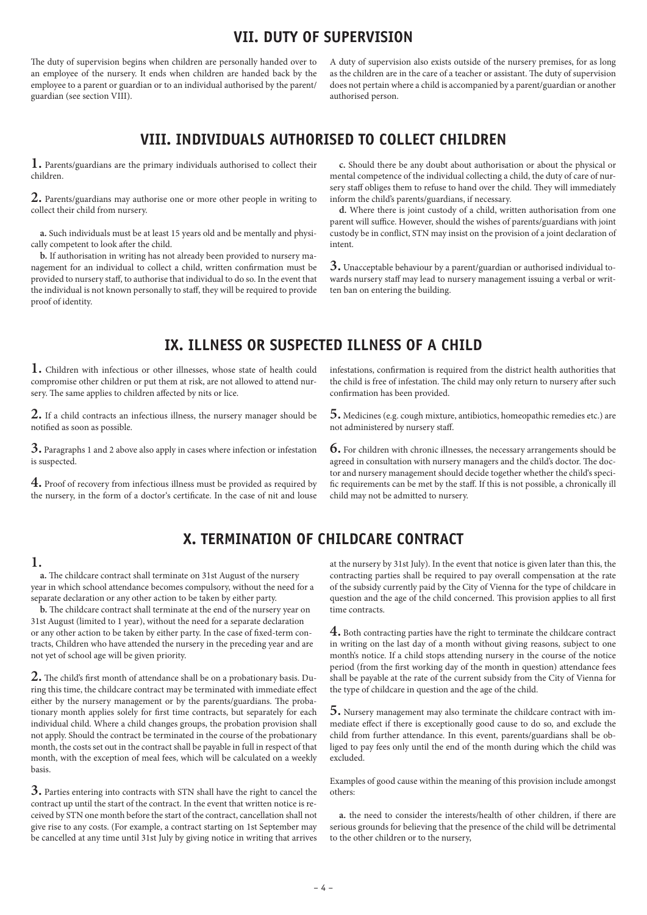#### **VII. DUTY OF SUPERVISION**

The duty of supervision begins when children are personally handed over to an employee of the nursery. It ends when children are handed back by the employee to a parent or guardian or to an individual authorised by the parent/ guardian (see section VIII).

A duty of supervision also exists outside of the nursery premises, for as long as the children are in the care of a teacher or assistant. The duty of supervision does not pertain where a child is accompanied by a parent/guardian or another authorised person.

## **VIII. INDIVIDUALS AUTHORISED TO COLLECT CHILDREN**

**1.** Parents/guardians are the primary individuals authorised to collect their children.

**2.** Parents/guardians may authorise one or more other people in writing to collect their child from nursery.

**a.** Such individuals must be at least 15 years old and be mentally and physically competent to look after the child.

**b.** If authorisation in writing has not already been provided to nursery management for an individual to collect a child, written confirmation must be provided to nursery staff, to authorise that individual to do so. In the event that the individual is not known personally to staff, they will be required to provide proof of identity.

**c.** Should there be any doubt about authorisation or about the physical or mental competence of the individual collecting a child, the duty of care of nursery staff obliges them to refuse to hand over the child. They will immediately inform the child's parents/guardians, if necessary.

**d.** Where there is joint custody of a child, written authorisation from one parent will suffice. However, should the wishes of parents/guardians with joint custody be in conflict, STN may insist on the provision of a joint declaration of intent.

**3.** Unacceptable behaviour by a parent/guardian or authorised individual towards nursery staff may lead to nursery management issuing a verbal or written ban on entering the building.

# **IX. ILLNESS OR SUSPECTED ILLNESS OF A CHILD**

**1.** Children with infectious or other illnesses, whose state of health could compromise other children or put them at risk, are not allowed to attend nursery. The same applies to children affected by nits or lice.

**2.** If a child contracts an infectious illness, the nursery manager should be notified as soon as possible.

**3.** Paragraphs 1 and 2 above also apply in cases where infection or infestation is suspected.

**4.** Proof of recovery from infectious illness must be provided as required by the nursery, in the form of a doctor's certificate. In the case of nit and louse infestations, confirmation is required from the district health authorities that the child is free of infestation. The child may only return to nursery after such confirmation has been provided.

**5.** Medicines (e.g. cough mixture, antibiotics, homeopathic remedies etc.) are not administered by nursery staff.

**6.** For children with chronic illnesses, the necessary arrangements should be agreed in consultation with nursery managers and the child's doctor. The doctor and nursery management should decide together whether the child's specific requirements can be met by the staff. If this is not possible, a chronically ill child may not be admitted to nursery.

# **X. TERMINATION OF CHILDCARE CONTRACT**

#### **1.**

**a.** The childcare contract shall terminate on 31st August of the nursery year in which school attendance becomes compulsory, without the need for a separate declaration or any other action to be taken by either party.

**b.** The childcare contract shall terminate at the end of the nursery year on 31st August (limited to 1 year), without the need for a separate declaration or any other action to be taken by either party. In the case of fixed-term contracts, Children who have attended the nursery in the preceding year and are not yet of school age will be given priority.

**2.** The child's first month of attendance shall be on a probationary basis. During this time, the childcare contract may be terminated with immediate effect either by the nursery management or by the parents/guardians. The probationary month applies solely for first time contracts, but separately for each individual child. Where a child changes groups, the probation provision shall not apply. Should the contract be terminated in the course of the probationary month, the costs set out in the contract shall be payable in full in respect of that month, with the exception of meal fees, which will be calculated on a weekly basis.

**3.** Parties entering into contracts with STN shall have the right to cancel the contract up until the start of the contract. In the event that written notice is received by STN one month before the start of the contract, cancellation shall not give rise to any costs. (For example, a contract starting on 1st September may be cancelled at any time until 31st July by giving notice in writing that arrives at the nursery by 31st July). In the event that notice is given later than this, the contracting parties shall be required to pay overall compensation at the rate of the subsidy currently paid by the City of Vienna for the type of childcare in question and the age of the child concerned. This provision applies to all first time contracts.

**4.** Both contracting parties have the right to terminate the childcare contract in writing on the last day of a month without giving reasons, subject to one month's notice. If a child stops attending nursery in the course of the notice period (from the first working day of the month in question) attendance fees shall be payable at the rate of the current subsidy from the City of Vienna for the type of childcare in question and the age of the child.

**5.** Nursery management may also terminate the childcare contract with immediate effect if there is exceptionally good cause to do so, and exclude the child from further attendance. In this event, parents/guardians shall be obliged to pay fees only until the end of the month during which the child was excluded.

Examples of good cause within the meaning of this provision include amongst others:

**a.** the need to consider the interests/health of other children, if there are serious grounds for believing that the presence of the child will be detrimental to the other children or to the nursery,